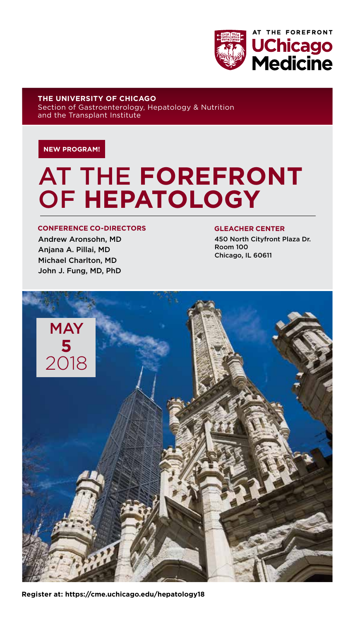

**THE UNIVERSITY OF CHICAGO**  Section of Gastroenterology, Hepatology & Nutrition and the Transplant Institute

#### **NEW PROGRAM!**

## AT THE **FOREFRONT** OF **HEPATOLOGY**

#### **CONFERENCE CO-DIRECTORS**

Andrew Aronsohn, MD Anjana A. Pillai, MD Michael Charlton, MD John J. Fung, MD, PhD

#### **GLEACHER CENTER**

450 North Cityfront Plaza Dr. Room 100 Chicago, IL 60611



**Register at: https://cme.uchicago.edu/hepatology18**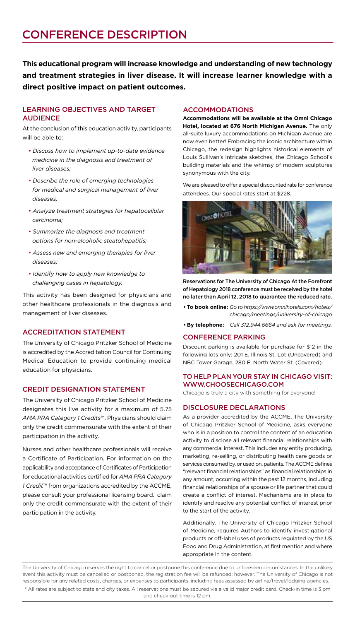**This educational program will increase knowledge and understanding of new technology and treatment strategies in liver disease. It will increase learner knowledge with a direct positive impact on patient outcomes.** 

#### LEARNING OBJECTIVES AND TARGET AUDIENCE

At the conclusion of this education activity, participants will be able to:

- *Discuss how to implement up-to-date evidence medicine in the diagnosis and treatment of liver diseases;*
- *Describe the role of emerging technologies for medical and surgical management of liver diseases;*
- *Analyze treatment strategies for hepatocellular carcinoma;*
- *Summarize the diagnosis and treatment options for non-alcoholic steatohepatitis;*
- *Assess new and emerging therapies for liver diseases;*
- *Identify how to apply new knowledge to challenging cases in hepatology.*

This activity has been designed for physicians and other healthcare professionals in the diagnosis and management of liver diseases.

#### ACCREDITATION STATEMENT

The University of Chicago Pritzker School of Medicine is accredited by the Accreditation Council for Continuing Medical Education to provide continuing medical education for physicians.

#### CREDIT DESIGNATION STATEMENT

The University of Chicago Pritzker School of Medicine designates this live activity for a maximum of 5.75 *AMA PRA Category 1 Credits*™. Physicians should claim only the credit commensurate with the extent of their participation in the activity.

Nurses and other healthcare professionals will receive a Certificate of Participation. For information on the applicability and acceptance of Certificates of Participation for educational activities certified for *AMA PRA Category 1 Credit*™ from organizations accredited by the ACCME, please consult your professional licensing board. claim only the credit commensurate with the extent of their participation in the activity.

#### ACCOMMODATIONS

**Accommodations will be available at the Omni Chicago Hotel, located at 676 North Michigan Avenue.** The only all-suite luxury accommodations on Michigan Avenue are now even better! Embracing the iconic architecture within Chicago, the redesign highlights historical elements of Louis Sullivan's intricate sketches, the Chicago School's building materials and the whimsy of modern sculptures synonymous with the city.

We are pleased to offer a special discounted rate for conference attendees. Our special rates start at \$228.



Reservations for The University of Chicago At the Forefront of Hepatology 2018 conference must be received by the hotel no later than April 12, 2018 to guarantee the reduced rate.

**• To book online:** *Go to https://www.omnihotels.com/hotels/ chicago/meetings/university-of-chicago*

**• By telephone:** *Call 312.944.6664 and ask for meetings.*

#### CONFERENCE PARKING

Discount parking is available for purchase for \$12 in the following lots only: 201 E. Illinois St. Lot (Uncovered) and NBC Tower Garage, 280 E. North Water St. (Covered).

#### TO HELP PLAN YOUR STAY IN CHICAGO VISIT: WWW.CHOOSECHICAGO.COM

Chicago is truly a city with something for everyone!

#### DISCLOSURE DECLARATIONS

As a provider accredited by the ACCME, The University of Chicago Pritzker School of Medicine, asks everyone who is in a position to control the content of an education activity to disclose all relevant financial relationships with any commercial interest. This includes any entity producing, marketing, re-selling, or distributing health care goods or services consumed by, or used on, patients. The ACCME defines "relevant financial relationships" as financial relationships in any amount, occurring within the past 12 months, including financial relationships of a spouse or life partner that could create a conflict of interest. Mechanisms are in place to identify and resolve any potential conflict of interest prior to the start of the activity.

Additionally, The University of Chicago Pritzker School of Medicine, requires Authors to identify investigational products or off-label uses of products regulated by the US Food and Drug Administration, at first mention and where appropriate in the content.

\* All rates are subject to state and city taxes. All reservations must be secured via a valid major credit card. Check-in time is 3 pm and check-out time is 12 pm. The University of Chicago reserves the right to cancel or postpone this conference due to unforeseen circumstances. In the unlikely event this activity must be cancelled or postponed, the registration fee will be refunded; however, The University of Chicago is not responsible for any related costs, charges, or expenses to participants, including fees assessed by airline/travel/lodging agencies.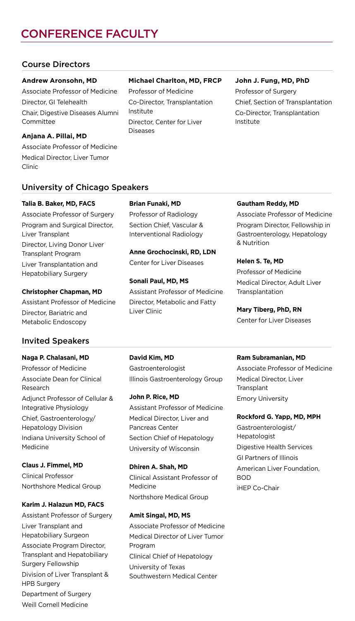### CONFERENCE FACULTY

#### Course Directors

#### **Andrew Aronsohn, MD**

Associate Professor of Medicine Director, GI Telehealth Chair, Digestive Diseases Alumni Committee

#### **Michael Charlton, MD, FRCP**

Professor of Medicine Co-Director, Transplantation Institute Director, Center for Liver Diseases

#### **John J. Fung, MD, PhD**

**Gautham Reddy, MD**

& Nutrition

**Helen S. Te, MD** Professor of Medicine Medical Director, Adult Liver

Associate Professor of Medicine Program Director, Fellowship in Gastroenterology, Hepatology

Professor of Surgery Chief, Section of Transplantation Co-Director, Transplantation Institute

#### **Anjana A. Pillai, MD**

Associate Professor of Medicine Medical Director, Liver Tumor Clinic

#### University of Chicago Speakers

#### **Talia B. Baker, MD, FACS**

Associate Professor of Surgery Program and Surgical Director, Liver Transplant Director, Living Donor Liver Transplant Program Liver Transplantation and Hepatobiliary Surgery

#### **Christopher Chapman, MD**

Assistant Professor of Medicine Director, Bariatric and Metabolic Endoscopy

#### Invited Speakers

#### **Naga P. Chalasani, MD**

Professor of Medicine Associate Dean for Clinical Research Adjunct Professor of Cellular & Integrative Physiology Chief, Gastroenterology/ Hepatology Division Indiana University School of Medicine

#### **Claus J. Fimmel, MD**

Clinical Professor Northshore Medical Group

#### **Karim J. Halazun MD, FACS**

Assistant Professor of Surgery Liver Transplant and Hepatobiliary Surgeon Associate Program Director, Transplant and Hepatobiliary Surgery Fellowship Division of Liver Transplant & HPB Surgery Department of Surgery Weill Cornell Medicine

#### **Brian Funaki, MD**

Professor of Radiology Section Chief, Vascular & Interventional Radiology

**Anne Grochocinski, RD, LDN** Center for Liver Diseases

Assistant Professor of Medicine Director, Metabolic and Fatty

#### **Ram Subramanian, MD**

Associate Professor of Medicine Medical Director, Liver **Transplant** Emory University

#### **Rockford G. Yapp, MD, MPH**

Gastroenterologist/ Hepatologist Digestive Health Services GI Partners of Illinois American Liver Foundation, BOD iHEP Co-Chair

**David Kim, MD** Gastroenterologist Illinois Gastroenterology Group

**John P. Rice, MD** Assistant Professor of Medicine Medical Director, Liver and Pancreas Center Section Chief of Hepatology University of Wisconsin

**Dhiren A. Shah, MD** Clinical Assistant Professor of Medicine Northshore Medical Group

#### **Amit Singal, MD, MS**

Associate Professor of Medicine Medical Director of Liver Tumor Program Clinical Chief of Hepatology University of Texas Southwestern Medical Center

# **Sonali Paul, MD, MS**

Center for Liver Diseases

## Liver Clinic

Transplantation **Mary Tiberg, PhD, RN**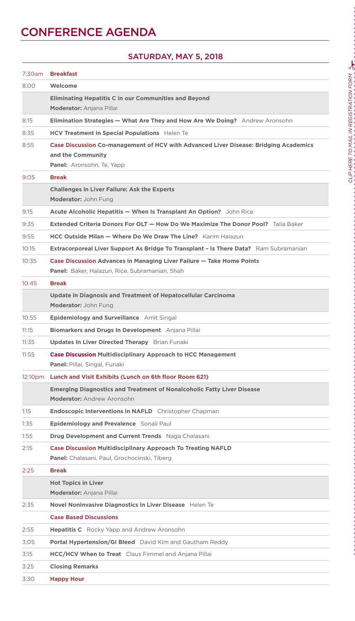### **CONFERENCE AGENDA**

#### 7:30am **Breakfast** 8:00 **Welcome Eliminating Hepatitis C in our Communities and Beyond Moderator:** Anjana Pillai 8:15 **Elimination Strategies — What Are They and How Are We Doing?** Andrew Aronsohn 8:35 **HCV Treatment in Special Populations** Helen Te 8:55 **Case Discussion Co-management of HCV with Advanced Liver Disease: Bridging Academics and the Community Panel:** Aronsohn, Te, Yapp 9:05 **Break Challenges in Liver Failure: Ask the Experts Moderator:** John Fung 9:15 **Acute Alcoholic Hepatitis — When Is Transplant An Option?** John Rice 9:35 **Extended Criteria Donors For OLT — How Do We Maximize The Donor Pool?** Talia Baker 9:55 **HCC Outside Milan — Where Do We Draw The Line?** Karim Halazun 10:15 **Extracorporeal Liver Support As Bridge To Transplant – Is There Data?** Ram Subramanian 10:35 **Case Discussion Advances in Managing Liver Failure — Take Home Points Panel:** Baker, Halazun, Rice, Subramanian, Shah 10:45 **Break Update in Diagnosis and Treatment of Hepatocellular Carcinoma Moderator:** John Fung 10:55 **Epidemiology and Surveillance** Amit Singal 11:15 **Biomarkers and Drugs In Development** Anjana Pillai 11:35 **Updates In Liver Directed Therapy** Brian Funaki 11:55 **Case Discussion Multidisciplinary Approach to HCC Management Panel:** Pillai, Singal, Funaki 12:10pm **Lunch and Visit Exhibits (Lunch on 6th floor Room 621) Emerging Diagnostics and Treatment of Nonalcoholic Fatty Liver Disease Moderator:** Andrew Aronsohn 1:15 **Endoscopic Interventions in NAFLD** Christopher Chapman 1:35 **Epidemiology and Prevalence** Sonali Paul 1:55 **Drug Development and Current Trends** Naga Chalasani 2:15 **Case Discussion Multidisciplinary Approach To Treating NAFLD Panel:** Chalasani, Paul, Grochocinski, Tiberg 2:25 **Break Hot Topics in Liver Moderator:** Anjana Pillai 2:35 **Novel Noninvasive Diagnostics in Liver Disease** Helen Te **Case Based Discussions**  2:55 **Hepatitis C** Rocky Yapp and Andrew Aronsohn 3:05 **Portal Hypertension/GI Bleed** David Kim and Gautham Reddy 3:15 **HCC/HCV When to Treat** Claus Fimmel and Anjana Pillai 3:25 **Closing Remarks** 3:30 **Happy Hour**

#### SATURDAY, MAY 5, 2018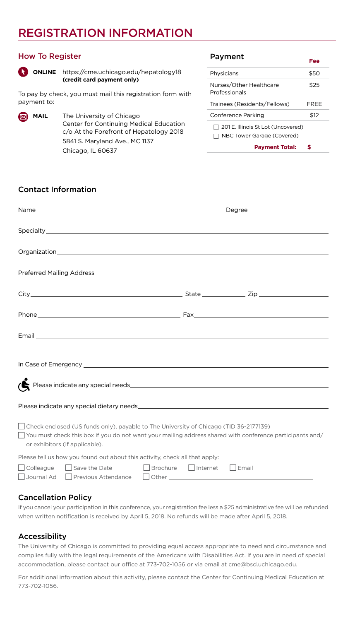#### REGISTRATION INFORMATION

#### How To Register



**ONLINE** https://cme.uchicago.edu/hepatology18 **(credit card payment only)**

To pay by check, you must mail this registration form with payment to:

**MAIL** The University of Chicago Center for Continuing Medical Education c/o At the Forefront of Hepatology 2018 5841 S. Maryland Ave., MC 1137 Chicago, IL 60637

#### Payment

|                                                                    | .    |
|--------------------------------------------------------------------|------|
| Physicians                                                         | \$50 |
| Nurses/Other Healthcare<br>Professionals                           | \$25 |
| Trainees (Residents/Fellows)                                       | FRFF |
| Conference Parking                                                 | \$12 |
| 7 201 E. Illinois St Lot (Uncovered)<br>NBC Tower Garage (Covered) |      |
| <b>Pavment Total:</b>                                              |      |

**Fee**

#### Contact Information

| Preferred Mailing Address <b>Contract Contract Contract Contract Contract Contract Contract Contract Contract Contract Contract Contract Contract Contract Contract Contract Contract Contract Contract Contract Contract Contra</b>       |  |  |
|--------------------------------------------------------------------------------------------------------------------------------------------------------------------------------------------------------------------------------------------|--|--|
|                                                                                                                                                                                                                                            |  |  |
|                                                                                                                                                                                                                                            |  |  |
|                                                                                                                                                                                                                                            |  |  |
|                                                                                                                                                                                                                                            |  |  |
| $\sum$ Please indicate any special needs                                                                                                                                                                                                   |  |  |
|                                                                                                                                                                                                                                            |  |  |
| Check enclosed (US funds only), payable to The University of Chicago (TID 36-2177139)<br>$\Box$ You must check this box if you do not want your mailing address shared with conference participants and/<br>or exhibitors (if applicable). |  |  |
| Please tell us how you found out about this activity, check all that apply:                                                                                                                                                                |  |  |
| □ Colleague □ Save the Date □ Brochure □ Internet □ Email<br>Journal Ad Previous Attendance                                                                                                                                                |  |  |

#### Cancellation Policy

If you cancel your participation in this conference, your registration fee less a \$25 administrative fee will be refunded when written notification is received by April 5, 2018. No refunds will be made after April 5, 2018.

#### Accessibility

The University of Chicago is committed to providing equal access appropriate to need and circumstance and complies fully with the legal requirements of the Americans with Disabilities Act. If you are in need of special accommodation, please contact our office at 773-702-1056 or via email at cme@bsd.uchicago.edu.

For additional information about this activity, please contact the Center for Continuing Medical Education at 773-702-1056.